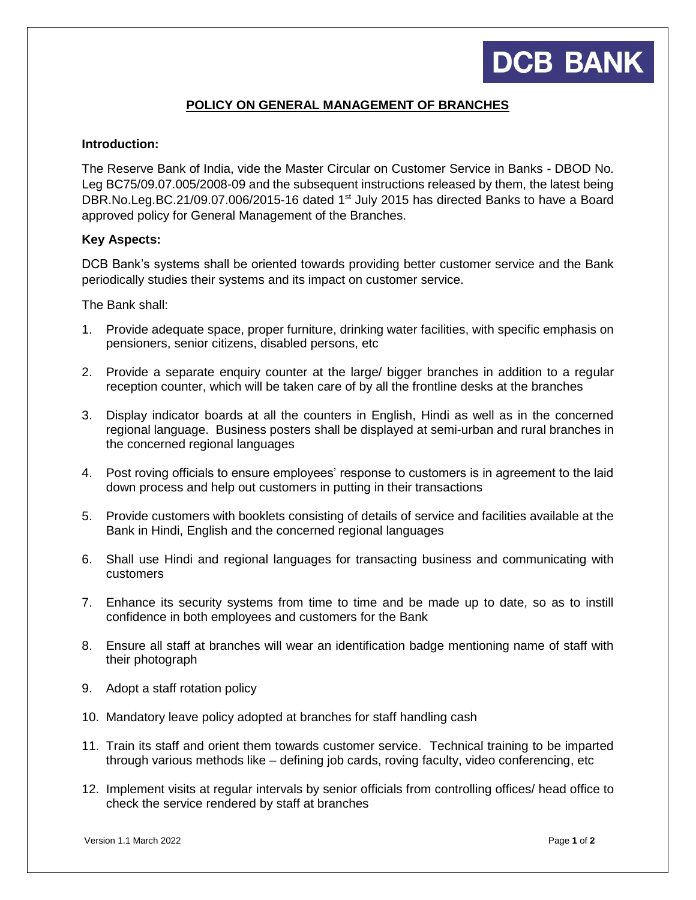## **DCB BANK**

### **POLICY ON GENERAL MANAGEMENT OF BRANCHES**

#### **Introduction:**

The Reserve Bank of India, vide the Master Circular on Customer Service in Banks - DBOD No. Leg BC75/09.07.005/2008-09 and the subsequent instructions released by them, the latest being DBR.No.Leg.BC.21/09.07.006/2015-16 dated 1<sup>st</sup> July 2015 has directed Banks to have a Board approved policy for General Management of the Branches.

#### **Key Aspects:**

DCB Bank's systems shall be oriented towards providing better customer service and the Bank periodically studies their systems and its impact on customer service.

The Bank shall:

- 1. Provide adequate space, proper furniture, drinking water facilities, with specific emphasis on pensioners, senior citizens, disabled persons, etc
- 2. Provide a separate enquiry counter at the large/ bigger branches in addition to a regular reception counter, which will be taken care of by all the frontline desks at the branches
- 3. Display indicator boards at all the counters in English, Hindi as well as in the concerned regional language. Business posters shall be displayed at semi-urban and rural branches in the concerned regional languages
- 4. Post roving officials to ensure employees' response to customers is in agreement to the laid down process and help out customers in putting in their transactions
- 5. Provide customers with booklets consisting of details of service and facilities available at the Bank in Hindi, English and the concerned regional languages
- 6. Shall use Hindi and regional languages for transacting business and communicating with customers
- 7. Enhance its security systems from time to time and be made up to date, so as to instill confidence in both employees and customers for the Bank
- 8. Ensure all staff at branches will wear an identification badge mentioning name of staff with their photograph
- 9. Adopt a staff rotation policy
- 10. Mandatory leave policy adopted at branches for staff handling cash
- 11. Train its staff and orient them towards customer service. Technical training to be imparted through various methods like – defining job cards, roving faculty, video conferencing, etc
- 12. Implement visits at regular intervals by senior officials from controlling offices/ head office to check the service rendered by staff at branches